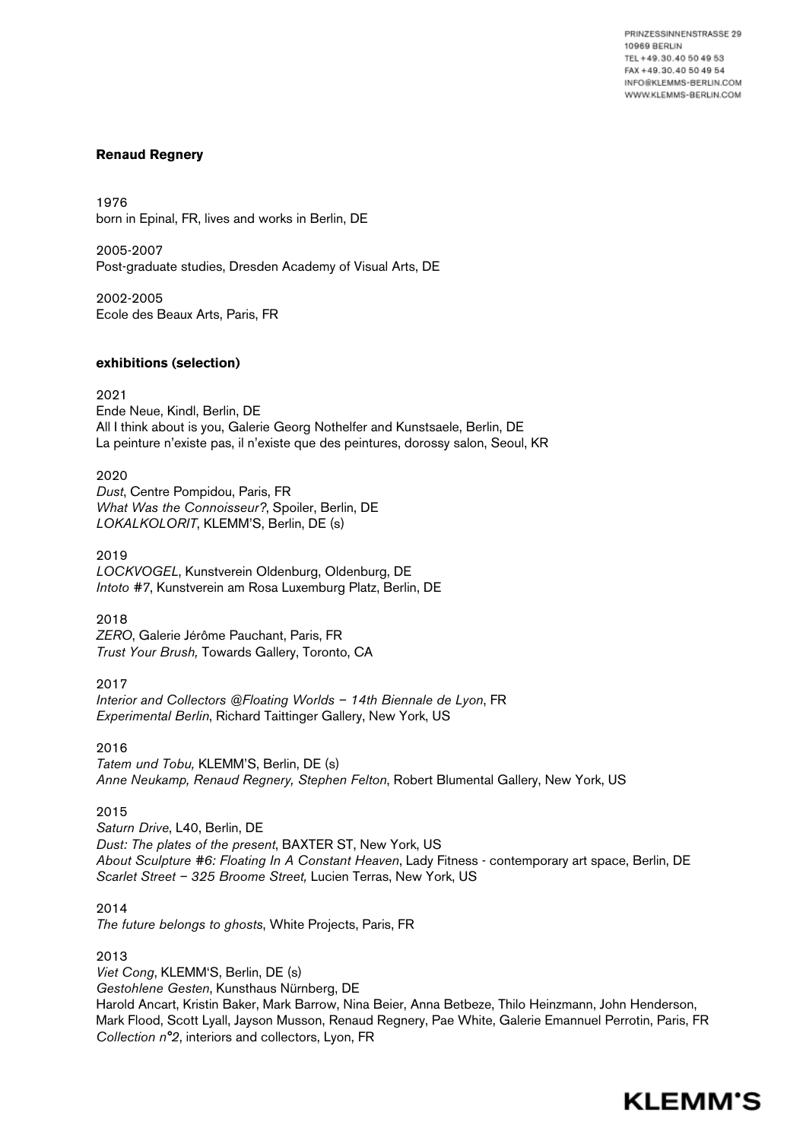PRINZESSINNENSTRASSE 29 **10969 BERLIN** TEL +49.30.40 50 49 53 FAX +49.30.40 50 49 54 INFO@KLEMMS-BERLIN.COM WWW.KLEMMS-BERLIN.COM

### **Renaud Regnery**

1976 born in Epinal, FR, lives and works in Berlin, DE

2005-2007 Post-graduate studies, Dresden Academy of Visual Arts, DE

2002-2005 Ecole des Beaux Arts, Paris, FR

### **exhibitions (selection)**

2021

Ende Neue, Kindl, Berlin, DE All I think about is you, Galerie Georg Nothelfer and Kunstsaele, Berlin, DE La peinture n'existe pas, il n'existe que des peintures, dorossy salon, Seoul, KR

2020

*Dust*, Centre Pompidou, Paris, FR *What Was the Connoisseur?*, Spoiler, Berlin, DE *LOKALKOLORIT*, KLEMM'S, Berlin, DE (s)

2019 *LOCKVOGEL*, Kunstverein Oldenburg, Oldenburg, DE *Intoto #7*, Kunstverein am Rosa Luxemburg Platz, Berlin, DE

2018 *ZERO*, Galerie Jérôme Pauchant, Paris, FR *Trust Your Brush,* Towards Gallery, Toronto, CA

2017

*Interior and Collectors @Floating Worlds – 14th Biennale de Lyon*, FR *Experimental Berlin*, Richard Taittinger Gallery, New York, US

2016

*Tatem und Tobu,* KLEMM'S, Berlin, DE (s) *Anne Neukamp, Renaud Regnery, Stephen Felton*, Robert Blumental Gallery, New York, US

2015

*Saturn Drive*, L40, Berlin, DE *[Dust: The plates of the present](http://thedust.fr///)*, [BAXTER ST, New York](http://www.baxterst.org/exhibitions-3/upcoming-exhibitions////), US *About Sculpture #6: Floating In A Constant Heaven*, Lady Fitness - contemporary art space, Berlin, DE *Scarlet Street – 325 Broome Street,* Lucien Terras, New York, US

2014

*The future belongs to ghosts*, White Projects, Paris, FR

2013 *Viet Cong*, KLEMM'S, Berlin, DE (s) *Gestohlene Gesten*, Kunsthaus Nürnberg, DE Harold Ancart, Kristin Baker, Mark Barrow, Nina Beier, Anna Betbeze, Thilo Heinzmann, John Henderson, Mark Flood, Scott Lyall, Jayson Musson, Renaud Regnery, Pae White, Galerie Emannuel Perrotin, Paris, FR *Collection n°2*, interiors and collectors, Lyon, FR

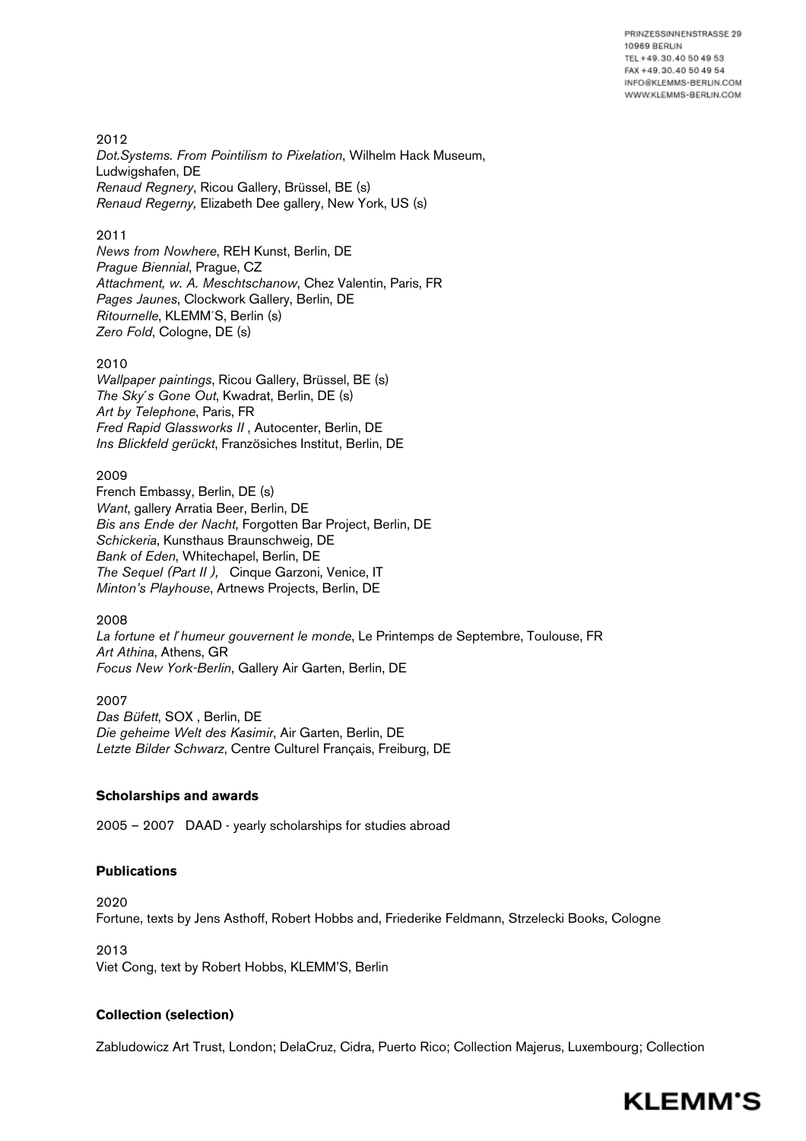PRINZESSINNENSTRASSE 29 **10969 BERLIN** TEL +49.30.40 50 49 53 FAX +49.30.40 50 49 54 INFO@KLEMMS-BERLIN.COM WWW.KLEMMS-BERLIN.COM

2012 *Dot.Systems. From Pointilism to Pixelation*, Wilhelm Hack Museum, Ludwigshafen, DE *Renaud Regnery*, Ricou Gallery, Brüssel, BE (s) *Renaud Regerny,* Elizabeth Dee gallery, New York, US (s)

## 2011

*News from Nowhere*, REH Kunst, Berlin, DE *Prague Biennial*, Prague, CZ *Attachment, w. A. Meschtschanow*, Chez Valentin, Paris, FR *Pages Jaunes*, Clockwork Gallery, Berlin, DE *Ritournelle*, KLEMM´S, Berlin (s) *Zero Fold*, Cologne, DE (s)

### 2010

*Wallpaper paintings*, Ricou Gallery, Brüssel, BE (s) *The Sky´s Gone Out*, Kwadrat, Berlin, DE (s) *Art by Telephone*, Paris, FR *Fred Rapid Glassworks II* , Autocenter, Berlin, DE *Ins Blickfeld gerückt*, Französiches Institut, Berlin, DE

## 2009

French Embassy, Berlin, DE (s) *Want*, gallery Arratia Beer, Berlin, DE *Bis ans Ende der Nacht*, Forgotten Bar Project, Berlin, DE *Schickeria*, Kunsthaus Braunschweig, DE *Bank of Eden*, Whitechapel, Berlin, DE *The Sequel (Part II ),* Cinque Garzoni, Venice, IT *Minton's Playhouse*, Artnews Projects, Berlin, DE

# 2008

*La fortune et l´humeur gouvernent le monde*, Le Printemps de Septembre, Toulouse, FR *Art Athina*, Athens, GR *Focus New York-Berlin*, Gallery Air Garten, Berlin, DE

2007 *Das Büfett*, SOX , Berlin, DE *Die geheime Welt des Kasimir*, Air Garten, Berlin, DE *Letzte Bilder Schwarz*, Centre Culturel Français, Freiburg, DE

# **Scholarships and awards**

2005 – 2007 DAAD - yearly scholarships for studies abroad

# **Publications**

2020 Fortune, texts by Jens Asthoff, Robert Hobbs and, Friederike Feldmann, Strzelecki Books, Cologne

2013 Viet Cong, text by Robert Hobbs, KLEMM'S, Berlin

### **Collection (selection)**

Zabludowicz Art Trust, London; DelaCruz, Cidra, Puerto Rico; Collection Majerus, Luxembourg; Collection